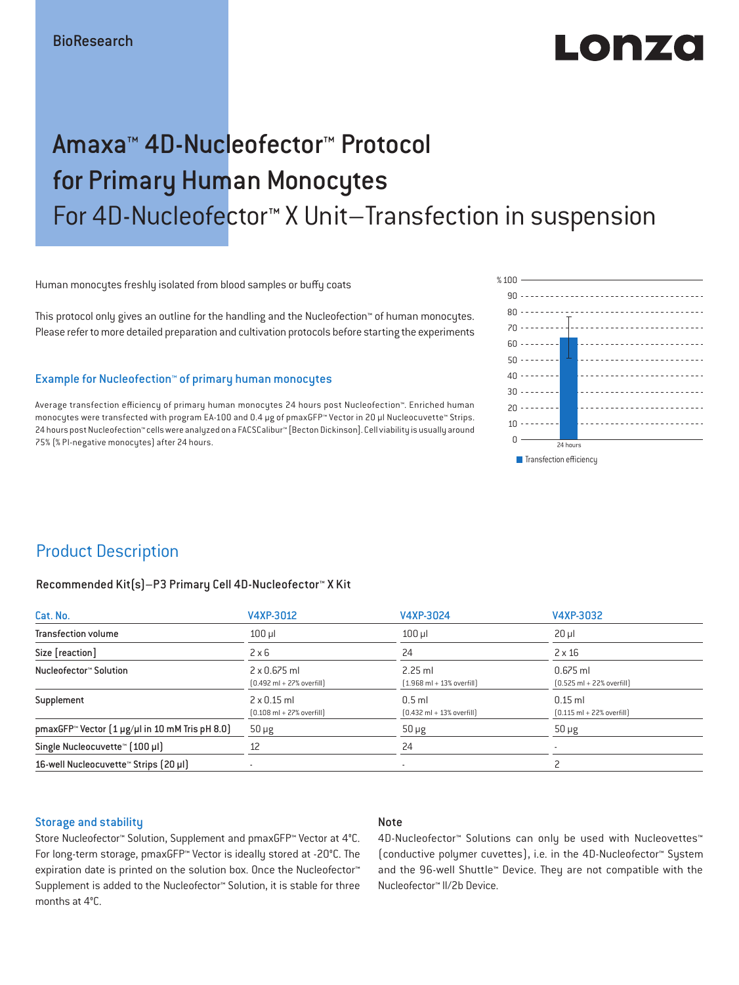# LONZO

## Amaxa™ 4D-Nucleofector™ Protocol for Primary Human Monocytes For 4D-Nucleofector™ X Unit–Transfection in suspension

Human monocytes freshly isolated from blood samples or buffy coats

This protocol only gives an outline for the handling and the Nucleofection™ of human monocytes. Please refer to more detailed preparation and cultivation protocols before starting the experiments

### Example for Nucleofection™ of primary human monocytes

Average transfection efficiency of primary human monocytes 24 hours post Nucleofection™. Enriched human monocytes were transfected with program EA-100 and 0.4 μg of pmaxGFP™ Vector in 20 μl Nucleocuvette™ Strips. 24 hours post Nucleofection™ cells were analyzed on a FACSCalibur™ [Becton Dickinson]. Cell viability is usually around 75% (% PI-negative monocytes) after 24 hours.



### Product Description

#### Recommended Kit(s)–P3 Primary Cell 4D-Nucleofector™ X Kit

| Cat. No.                                                          | V4XP-3012                                                           | V4XP-3024                                                 | V4XP-3032                                                  |  |
|-------------------------------------------------------------------|---------------------------------------------------------------------|-----------------------------------------------------------|------------------------------------------------------------|--|
| <b>Transfection volume</b>                                        | $100$ $\mu$                                                         | $100$ $\mu$                                               | $20 \mu$                                                   |  |
| Size [reaction]                                                   | $2 \times 6$                                                        | 24                                                        | $2 \times 16$                                              |  |
| Nucleofector™ Solution                                            | $2 \times 0.675$ ml<br>$[0.492 \text{ ml} + 27\% \text{ overfill}]$ | $2.25$ ml<br>$(1.968 \text{ ml} + 13\% \text{ overfill})$ | $0.675$ ml<br>$[0.525 \text{ ml} + 22\% \text{ overfill}]$ |  |
| Supplement                                                        | $2 \times 0.15$ ml<br>$[0.108 \text{ ml} + 27\% \text{ overfill}]$  | $0.5$ ml<br>$[0.432 \text{ ml} + 13\% \text{ overfill}]$  | $0.15$ ml<br>$[0.115 \text{ ml} + 22\% \text{ overfill}]$  |  |
| pmaxGFP <sup>*</sup> Vector $(1 \mu g/\mu)$ in 10 mM Tris pH 8.0) | $50 \mu g$                                                          | $50 \mu g$                                                | $50 \mu g$                                                 |  |
| Single Nucleocuvette™ (100 µl)                                    | 12                                                                  | 24                                                        |                                                            |  |
| 16-well Nucleocuvette <sup>™</sup> Strips [20 µl]                 | $\overline{\phantom{a}}$                                            | $\sim$                                                    |                                                            |  |

#### Storage and stability

### Note

Store Nucleofector™ Solution, Supplement and pmaxGFP™ Vector at 4°C. For long-term storage, pmaxGFP™ Vector is ideally stored at -20°C. The expiration date is printed on the solution box. Once the Nucleofector™ Supplement is added to the Nucleofector™ Solution, it is stable for three months at 4°C.

4D-Nucleofector™ Solutions can only be used with Nucleovettes™ (conductive polymer cuvettes), i.e. in the 4D-Nucleofector™ System and the 96-well Shuttle™ Device. They are not compatible with the Nucleofector™ II/2b Device.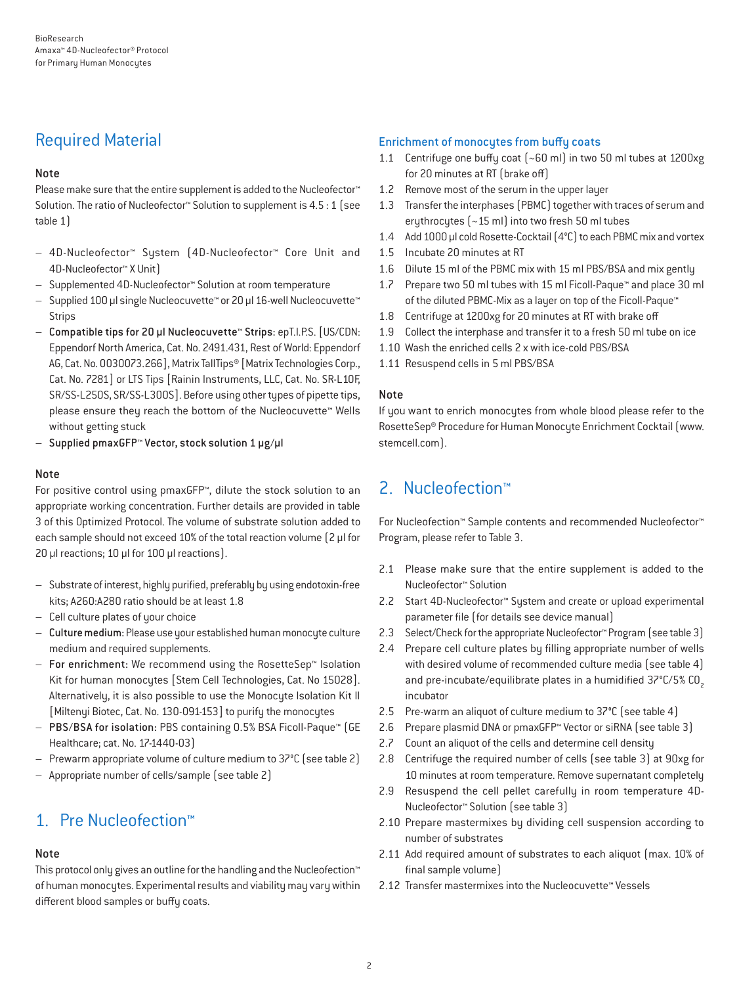### Required Material

### Note

Please make sure that the entire supplement is added to the Nucleofector<sup>™</sup> Solution. The ratio of Nucleofector™ Solution to supplement is 4.5 : 1 (see table 1)

- 4D-Nucleofector™ System (4D-Nucleofector™ Core Unit and 4D-Nucleofector™ X Unit)
- Supplemented 4D-Nucleofector™ Solution at room temperature
- Supplied 100 µl single Nucleocuvette™ or 20 µl 16-well Nucleocuvette™ Strips
- Compatible tips for 20 µl Nucleocuvette™ Strips: epT.I.P.S. [US/CDN: Eppendorf North America, Cat. No. 2491.431, Rest of World: Eppendorf AG, Cat. No. 0030073.266], Matrix TallTips® [Matrix Technologies Corp., Cat. No. 7281] or LTS Tips [Rainin Instruments, LLC, Cat. No. SR-L10F, SR/SS-L250S, SR/SS-L300S]. Before using other types of pipette tips, please ensure they reach the bottom of the Nucleocuvette™ Wells without getting stuck
- Supplied pmaxGFP™ Vector, stock solution 1 µg/µl

### Note

For positive control using pmaxGFP™, dilute the stock solution to an appropriate working concentration. Further details are provided in table 3 of this Optimized Protocol. The volume of substrate solution added to each sample should not exceed 10% of the total reaction volume [2 µl for 20 µl reactions; 10 µl for 100 µl reactions).

- Substrate of interest, highly purified, preferably by using endotoxin-free kits; A260:A280 ratio should be at least 1.8
- Cell culture plates of your choice
- Culture medium: Please use your established human monocyte culture medium and required supplements.
- For enrichment: We recommend using the RosetteSep™ Isolation Kit for human monocytes [Stem Cell Technologies, Cat. No 15028]. Alternatively, it is also possible to use the Monocyte Isolation Kit II [Miltenyi Biotec, Cat. No. 130-091-153] to purify the monocytes
- PBS/BSA for isolation: PBS containing 0.5% BSA Ficoll-Paque™ (GE Healthcare; cat. No. 17-1440-03)
- Prewarm appropriate volume of culture medium to 37°C (see table 2)
- Appropriate number of cells/sample (see table 2)

### 1. Pre Nucleofection™

### Note

This protocol only gives an outline for the handling and the Nucleofection™ of human monocytes. Experimental results and viability may vary within different blood samples or buffy coats.

### Enrichment of monocytes from buffy coats

- 1.1 Centrifuge one buffy coat (~60 ml) in two 50 ml tubes at 1200xg for 20 minutes at RT (brake off)
- 1.2 Remove most of the serum in the upper layer
- 1.3 Transfer the interphases (PBMC) together with traces of serum and erythrocytes (~15 ml) into two fresh 50 ml tubes
- 1.4 Add 1000 μl cold Rosette-Cocktail (4°C) to each PBMC mix and vortex
- 1.5 Incubate 20 minutes at RT
- 1.6 Dilute 15 ml of the PBMC mix with 15 ml PBS/BSA and mix gently
- 1.7 Prepare two 50 ml tubes with 15 ml Ficoll-Paque™ and place 30 ml of the diluted PBMC-Mix as a layer on top of the Ficoll-Paque™
- 1.8 Centrifuge at 1200xg for 20 minutes at RT with brake off
- 1.9 Collect the interphase and transfer it to a fresh 50 ml tube on ice
- 1.10 Wash the enriched cells 2 x with ice-cold PBS/BSA
- 1.11 Resuspend cells in 5 ml PBS/BSA

### Note

If you want to enrich monocytes from whole blood please refer to the RosetteSep® Procedure for Human Monocyte Enrichment Cocktail (www. stemcell.com).

### 2. Nucleofection™

For Nucleofection™ Sample contents and recommended Nucleofector™ Program, please refer to Table 3.

- 2.1 Please make sure that the entire supplement is added to the Nucleofector™ Solution
- 2.2 Start 4D-Nucleofector™ System and create or upload experimental parameter file (for details see device manual)
- 2.3 Select/Check for the appropriate Nucleofector™ Program (see table 3)
- 2.4 Prepare cell culture plates by filling appropriate number of wells with desired volume of recommended culture media (see table 4) and pre-incubate/equilibrate plates in a humidified  $37^{\circ}$ C/5% CO<sub>2</sub> incubator
- 2.5 Pre-warm an aliquot of culture medium to 37°C (see table 4)
- 2.6 Prepare plasmid DNA or pmaxGFP™ Vector or siRNA (see table 3)
- 2.7 Count an aliquot of the cells and determine cell density
- 2.8 Centrifuge the required number of cells (see table 3) at 90xg for 10 minutes at room temperature. Remove supernatant completely
- 2.9 Resuspend the cell pellet carefully in room temperature 4D-Nucleofector™ Solution (see table 3)
- 2.10 Prepare mastermixes by dividing cell suspension according to number of substrates
- 2.11 Add required amount of substrates to each aliquot (max. 10% of final sample volume)
- 2.12 Transfer mastermixes into the Nucleocuvette™ Vessels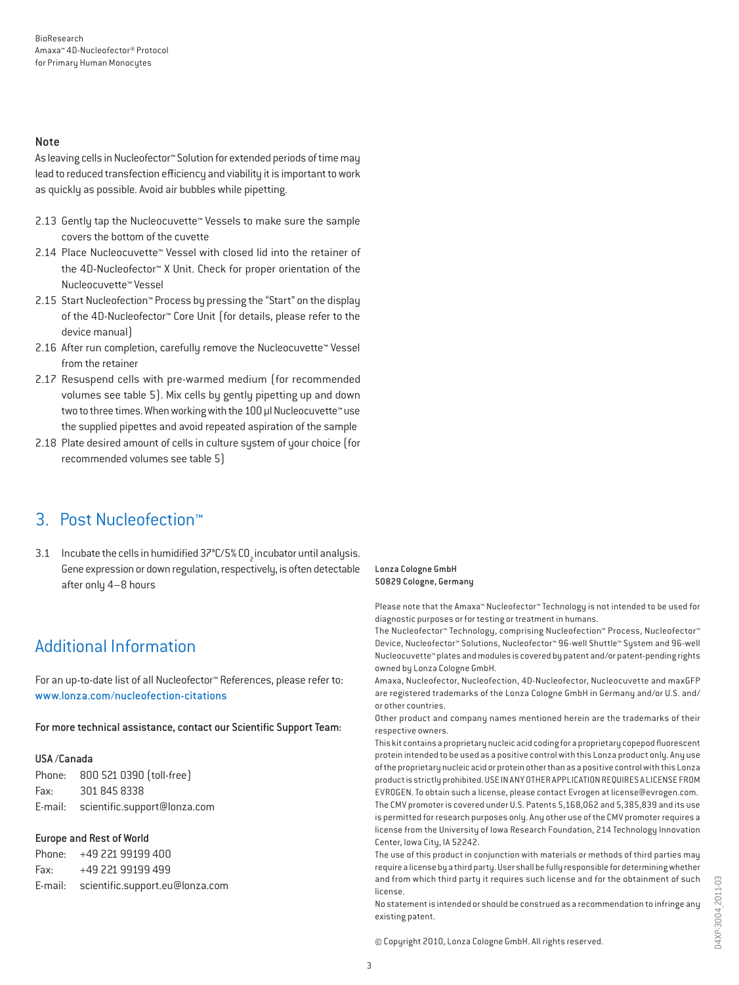#### Note

As leaving cells in Nucleofector™ Solution for extended periods of time may lead to reduced transfection efficiency and viability it is important to work as quickly as possible. Avoid air bubbles while pipetting.

- 2.13 Gently tap the Nucleocuvette™ Vessels to make sure the sample covers the bottom of the cuvette
- 2.14 Place Nucleocuvette™ Vessel with closed lid into the retainer of the 4D-Nucleofector™ X Unit. Check for proper orientation of the Nucleocuvette™ Vessel
- 2.15 Start Nucleofection™ Process by pressing the "Start" on the display of the 4D-Nucleofector™ Core Unit (for details, please refer to the device manual)
- 2.16 After run completion, carefully remove the Nucleocuvette™ Vessel from the retainer
- 2.17 Resuspend cells with pre-warmed medium (for recommended volumes see table 5). Mix cells by gently pipetting up and down two to three times. When working with the 100 µl Nucleocuvette™ use the supplied pipettes and avoid repeated aspiration of the sample
- 2.18 Plate desired amount of cells in culture system of your choice (for recommended volumes see table 5)

### 3. Post Nucleofection™

3.1 Incubate the cells in humidified 37°C/5% CO<sub>2</sub> incubator until analysis. Gene expression or down regulation, respectively, is often detectable after only 4–8 hours

#### Lonza Cologne GmbH 50829 Cologne, Germany

Please note that the Amaxa™ Nucleofector™ Technology is not intended to be used for diagnostic purposes or for testing or treatment in humans.

The Nucleofector™ Technology, comprising Nucleofection™ Process, Nucleofector™ Device, Nucleofector™ Solutions, Nucleofector™ 96-well Shuttle™ System and 96-well Nucleocuvette™ plates and modules is covered by patent and/or patent-pending rights owned by Lonza Cologne GmbH.

Amaxa, Nucleofector, Nucleofection, 4D-Nucleofector, Nucleocuvette and maxGFP are registered trademarks of the Lonza Cologne GmbH in Germany and/or U.S. and/ or other countries.

Other product and company names mentioned herein are the trademarks of their respective owners.

This kit contains a proprietary nucleic acid coding for a proprietary copepod fluorescent protein intended to be used as a positive control with this Lonza product only. Any use of the proprietary nucleic acid or protein other than as a positive control with this Lonza product is strictly prohibited. USE IN ANY OTHER APPLICATION REQUIRES A LICENSE FROM EVROGEN. To obtain such a license, please contact Evrogen at license@evrogen.com. The CMV promoter is covered under U.S. Patents 5,168,062 and 5,385,839 and its use is permitted for research purposes only. Any other use of the CMV promoter requires a license from the University of Iowa Research Foundation, 214 Technology Innovation Center, Iowa City, IA 52242.

The use of this product in conjunction with materials or methods of third parties may require a license by a third party. User shall be fully responsible for determining whether and from which third party it requires such license and for the obtainment of such license.

No statement is intended or should be construed as a recommendation to infringe any existing patent.

### Additional Information

For an up-to-date list of all Nucleofector™ References, please refer to: www.lonza.com/nucleofection-citations

For more technical assistance, contact our Scientific Support Team:

### USA /Canada

Phone: 800 521 0390 (toll-free) Fax: 301 845 8338 E-mail: scientific.support@lonza.com

### Europe and Rest of World

Phone: +49 221 99199 400 Fax: +49 221 99199 499 E-mail: scientific.support.eu@lonza.com

© Copyright 2010, Lonza Cologne GmbH. All rights reserved.